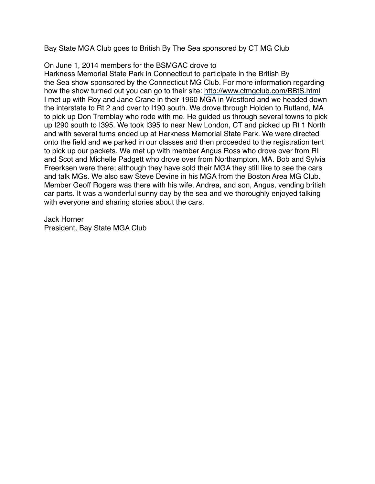Bay State MGA Club goes to British By The Sea sponsored by CT MG Club

## On June 1, 2014 members for the BSMGAC drove to

Harkness Memorial State Park in Connecticut to participate in the British By the Sea show sponsored by the Connecticut MG Club. For more information regarding how the show turned out you can go to their site: <http://www.ctmgclub.com/BBtS.html> I met up with Roy and Jane Crane in their 1960 MGA in Westford and we headed down the interstate to Rt 2 and over to I190 south. We drove through Holden to Rutland, MA to pick up Don Tremblay who rode with me. He guided us through several towns to pick up I290 south to I395. We took I395 to near New London, CT and picked up Rt 1 North and with several turns ended up at Harkness Memorial State Park. We were directed onto the field and we parked in our classes and then proceeded to the registration tent to pick up our packets. We met up with member Angus Ross who drove over from RI and Scot and Michelle Padgett who drove over from Northampton, MA. Bob and Sylvia Freerksen were there; although they have sold their MGA they still like to see the cars and talk MGs. We also saw Steve Devine in his MGA from the Boston Area MG Club. Member Geoff Rogers was there with his wife, Andrea, and son, Angus, vending british car parts. It was a wonderful sunny day by the sea and we thoroughly enjoyed talking with everyone and sharing stories about the cars.

Jack Horner President, Bay State MGA Club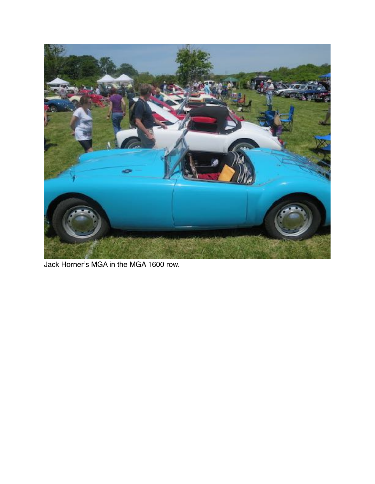

Jack Horner's MGA in the MGA 1600 row.